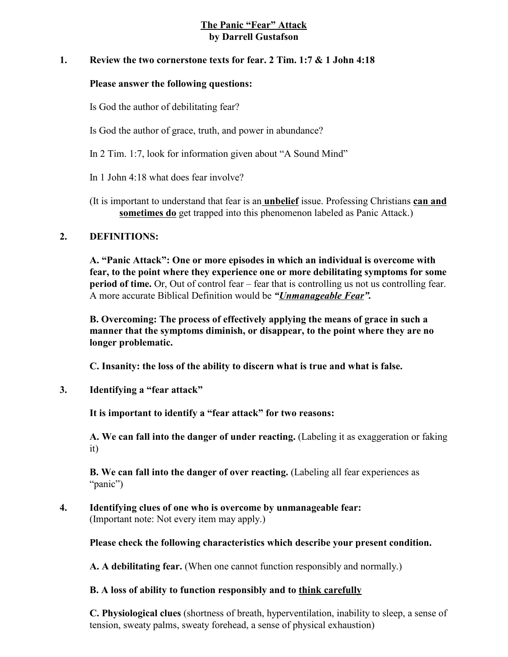## **The Panic "Fear" Attack by Darrell Gustafson**

### **1. Review the two cornerstone texts for fear. 2 Tim. 1:7 & 1 John 4:18**

#### **Please answer the following questions:**

Is God the author of debilitating fear?

- Is God the author of grace, truth, and power in abundance?
- In 2 Tim. 1:7, look for information given about "A Sound Mind"
- In 1 John 4:18 what does fear involve?
- (It is important to understand that fear is an **unbelief** issue. Professing Christians **can and sometimes do** get trapped into this phenomenon labeled as Panic Attack.)

### **2. DEFINITIONS:**

**A. "Panic Attack": One or more episodes in which an individual is overcome with fear, to the point where they experience one or more debilitating symptoms for some period of time.** Or, Out of control fear – fear that is controlling us not us controlling fear. A more accurate Biblical Definition would be *"Unmanageable Fear".*

**B. Overcoming: The process of effectively applying the means of grace in such a manner that the symptoms diminish, or disappear, to the point where they are no longer problematic.**

**C. Insanity: the loss of the ability to discern what is true and what is false.** 

**3. Identifying a "fear attack"**

**It is important to identify a "fear attack" for two reasons:**

**A. We can fall into the danger of under reacting.** (Labeling it as exaggeration or faking it)

**B. We can fall into the danger of over reacting.** (Labeling all fear experiences as "panic")

**4. Identifying clues of one who is overcome by unmanageable fear:**  (Important note: Not every item may apply.)

**Please check the following characteristics which describe your present condition.**

**A. A debilitating fear.** (When one cannot function responsibly and normally.)

### **B. A loss of ability to function responsibly and to think carefully**

**C. Physiological clues** (shortness of breath, hyperventilation, inability to sleep, a sense of tension, sweaty palms, sweaty forehead, a sense of physical exhaustion)